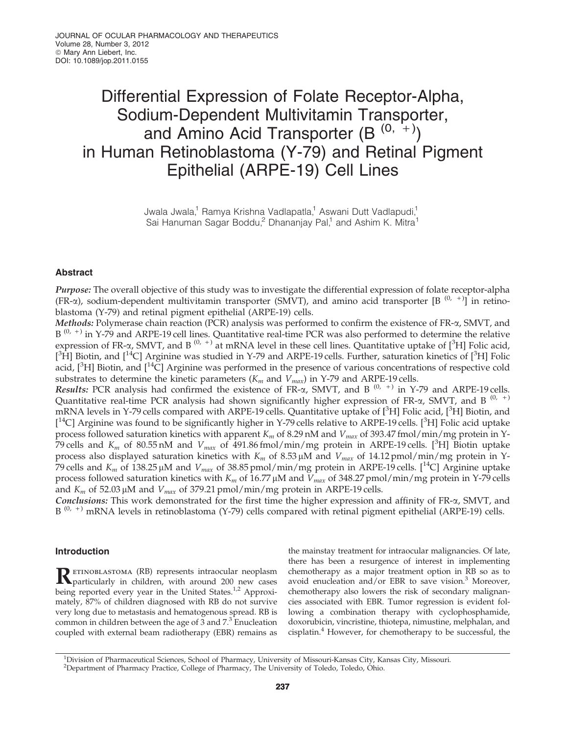# Differential Expression of Folate Receptor-Alpha, Sodium-Dependent Multivitamin Transporter, and Amino Acid Transporter  $(B^{(0, +)} )$ in Human Retinoblastoma (Y-79) and Retinal Pigment Epithelial (ARPE-19) Cell Lines

Jwala Jwala,<sup>1</sup> Ramya Krishna Vadlapatla,<sup>1</sup> Aswani Dutt Vadlapudi,<sup>1</sup> Sai Hanuman Sagar Boddu,<sup>2</sup> Dhananjay Pal,<sup>1</sup> and Ashim K. Mitra<sup>1</sup>

# Abstract

Purpose: The overall objective of this study was to investigate the differential expression of folate receptor-alpha  $(FR-\alpha)$ , sodium-dependent multivitamin transporter (SMVT), and amino acid transporter  $[B^{(0, +)}]$  in retinoblastoma (Y-79) and retinal pigment epithelial (ARPE-19) cells.

Methods: Polymerase chain reaction (PCR) analysis was performed to confirm the existence of  $FR-\alpha$ , SMVT, and B<sup>(0, +)</sup> in Y-79 and ARPE-19 cell lines. Quantitative real-time PCR was also performed to determine the relative expression of FR- $\alpha$ , SMVT, and B<sup>(0, +)</sup> at mRNA level in these cell lines. Quantitative uptake of [<sup>3</sup>H] Folic acid,  $[$ <sup>3</sup>H] Biotin, and  $[$ <sup>14</sup>C] Arginine was studied in Y-79 and ARPE-19 cells. Further, saturation kinetics of  $[$ <sup>3</sup>H] Folic acid,  $[^{3}H]$  Biotin, and  $[^{14}\tilde{C}]$  Arginine was performed in the presence of various concentrations of respective cold substrates to determine the kinetic parameters  $(K_m$  and  $V_{max}$ ) in Y-79 and ARPE-19 cells.

Results: PCR analysis had confirmed the existence of  $FR-\alpha$ , SMVT, and B<sup>(0, +)</sup> in Y-79 and ARPE-19 cells. Quantitative real-time PCR analysis had shown significantly higher expression of FR- $\alpha$ , SMVT, and B<sup>(0, +)</sup> mRNA levels in Y-79 cells compared with ARPE-19 cells. Quantitative uptake of [<sup>3</sup>H] Folic acid, [<sup>3</sup>H] Biotin, and [<sup>14</sup>C] Arginine was found to be significantly higher in Y-79 cells relative to ARPE-19 cells. [<sup>3</sup>H] Folic acid uptake process followed saturation kinetics with apparent *K<sup>m</sup>* of 8.29 nM and *Vmax* of 393.47 fmol/min/mg protein in Y-79 cells and  $K_m$  of 80.55 nM and  $V_{max}$  of 491.86 fmol/min/mg protein in ARPE-19 cells. [<sup>3</sup>H] Biotin uptake process also displayed saturation kinetics with  $K_m$  of 8.53  $\mu$ M and  $V_{max}$  of 14.12 pmol/min/mg protein in Y-79 cells and  $K_m$  of 138.25 µM and  $V_{max}$  of 38.85 pmol/min/mg protein in ARPE-19 cells. [<sup>14</sup>C] Arginine uptake process followed saturation kinetics with  $K_m$  of 16.77  $\mu$ M and  $V_{max}$  of 348.27 pmol/min/mg protein in Y-79 cells and  $K_m$  of 52.03  $\mu$ M and  $V_{max}$  of 379.21 pmol/min/mg protein in ARPE-19 cells.

**Conclusions:** This work demonstrated for the first time the higher expression and affinity of  $FR-\alpha$ , SMVT, and B<sup>(0, +)</sup> mRNA levels in retinoblastoma (Y-79) cells compared with retinal pigment epithelial (ARPE-19) cells.

# Introduction

R ETINOBLASTOMA (RB) represents intraocular neoplasm<br>
Particularly in children, with around 200 new cases particularly in children, with around 200 new cases being reported every year in the United States.<sup>1,2</sup> Approximately, 87% of children diagnosed with RB do not survive very long due to metastasis and hematogenous spread. RB is common in children between the age of  $3$  and  $7.^3$  Enucleation coupled with external beam radiotherapy (EBR) remains as

the mainstay treatment for intraocular malignancies. Of late, there has been a resurgence of interest in implementing chemotherapy as a major treatment option in RB so as to avoid enucleation and/or EBR to save vision. $3$  Moreover, chemotherapy also lowers the risk of secondary malignancies associated with EBR. Tumor regression is evident following a combination therapy with cyclophosphamide, doxorubicin, vincristine, thiotepa, nimustine, melphalan, and cisplatin.<sup>4</sup> However, for chemotherapy to be successful, the

<sup>1</sup>Division of Pharmaceutical Sciences, School of Pharmacy, University of Missouri-Kansas City, Kansas City, Missouri. <sup>2</sup>Department of Pharmacy Practice, College of Pharmacy, The University of Toledo, Toledo, Ohio.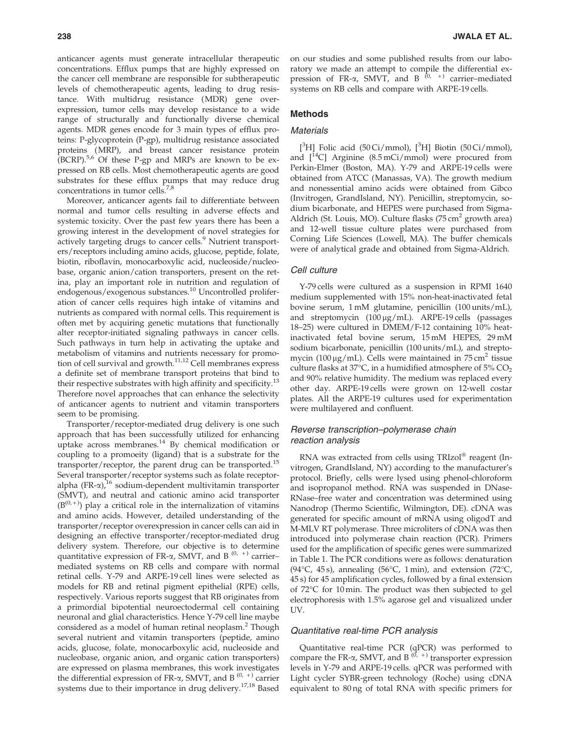anticancer agents must generate intracellular therapeutic concentrations. Efflux pumps that are highly expressed on the cancer cell membrane are responsible for subtherapeutic levels of chemotherapeutic agents, leading to drug resistance. With multidrug resistance (MDR) gene overexpression, tumor cells may develop resistance to a wide range of structurally and functionally diverse chemical agents. MDR genes encode for 3 main types of efflux proteins: P-glycoprotein (P-gp), multidrug resistance associated proteins (MRP), and breast cancer resistance protein (BCRP).<sup>5,6</sup> Of these P-gp and MRPs are known to be expressed on RB cells. Most chemotherapeutic agents are good substrates for these efflux pumps that may reduce drug concentrations in tumor cells.7,8

Moreover, anticancer agents fail to differentiate between normal and tumor cells resulting in adverse effects and systemic toxicity. Over the past few years there has been a growing interest in the development of novel strategies for actively targeting drugs to cancer cells.<sup>9</sup> Nutrient transporters/receptors including amino acids, glucose, peptide, folate, biotin, riboflavin, monocarboxylic acid, nucleoside/nucleobase, organic anion/cation transporters, present on the retina, play an important role in nutrition and regulation of endogenous/exogenous substances.<sup>10</sup> Uncontrolled proliferation of cancer cells requires high intake of vitamins and nutrients as compared with normal cells. This requirement is often met by acquiring genetic mutations that functionally alter receptor-initiated signaling pathways in cancer cells. Such pathways in turn help in activating the uptake and metabolism of vitamins and nutrients necessary for promotion of cell survival and growth.<sup>11,12</sup> Cell membranes express a definite set of membrane transport proteins that bind to their respective substrates with high affinity and specificity.<sup>13</sup> Therefore novel approaches that can enhance the selectivity of anticancer agents to nutrient and vitamin transporters seem to be promising.

Transporter/receptor-mediated drug delivery is one such approach that has been successfully utilized for enhancing uptake across membranes. $14$  By chemical modification or coupling to a promoeity (ligand) that is a substrate for the transporter/receptor, the parent drug can be transported.<sup>15</sup> Several transporter/receptor systems such as folate receptoralpha  $(FR-\alpha)$ ,<sup>16</sup> sodium-dependent multivitamin transporter (SMVT), and neutral and cationic amino acid transporter  $(B^{(0,+)})$  play a critical role in the internalization of vitamins and amino acids. However, detailed understanding of the transporter/receptor overexpression in cancer cells can aid in designing an effective transporter/receptor-mediated drug delivery system. Therefore, our objective is to determine quantitative expression of FR- $\alpha$ , SMVT, and B<sup>(0, +)</sup> carriermediated systems on RB cells and compare with normal retinal cells. Y-79 and ARPE-19 cell lines were selected as models for RB and retinal pigment epithelial (RPE) cells, respectively. Various reports suggest that RB originates from a primordial bipotential neuroectodermal cell containing neuronal and glial characteristics. Hence Y-79 cell line maybe considered as a model of human retinal neoplasm.<sup>2</sup> Though several nutrient and vitamin transporters (peptide, amino acids, glucose, folate, monocarboxylic acid, nucleoside and nucleobase, organic anion, and organic cation transporters) are expressed on plasma membranes, this work investigates the differential expression of FR- $\alpha$ , SMVT, and B<sup>(0, +)</sup> carrier systems due to their importance in drug delivery.17,18 Based

on our studies and some published results from our laboratory we made an attempt to compile the differential expression of FR- $\alpha$ , SMVT, and B<sup>(0, +)</sup> carrier–mediated systems on RB cells and compare with ARPE-19 cells.

# Methods

# **Materials**

[ ${}^{3}$ H] Folic acid (50 Ci/mmol), [ ${}^{3}$ H] Biotin (50 Ci/mmol), and  $[$ <sup>14</sup>C] Arginine (8.5 mCi/mmol) were procured from Perkin-Elmer (Boston, MA). Y-79 and ARPE-19 cells were obtained from ATCC (Manassas, VA). The growth medium and nonessential amino acids were obtained from Gibco (Invitrogen, GrandIsland, NY). Penicillin, streptomycin, sodium bicarbonate, and HEPES were purchased from Sigma-Aldrich (St. Louis, MO). Culture flasks (75 cm<sup>2</sup> growth area) and 12-well tissue culture plates were purchased from Corning Life Sciences (Lowell, MA). The buffer chemicals were of analytical grade and obtained from Sigma-Aldrich.

#### Cell culture

Y-79 cells were cultured as a suspension in RPMI 1640 medium supplemented with 15% non-heat-inactivated fetal bovine serum, 1 mM glutamine, penicillin (100 units/mL), and streptomycin  $(100 \,\mu\text{g/mL})$ . ARPE-19 cells (passages 18–25) were cultured in DMEM/F-12 containing 10% heatinactivated fetal bovine serum, 15 mM HEPES, 29 mM sodium bicarbonate, penicillin (100 units/mL), and streptomycin (100  $\mu$ g/mL). Cells were maintained in 75 cm<sup>2</sup> tissue culture flasks at  $37^{\circ}$ C, in a humidified atmosphere of  $5\%$  CO<sub>2</sub> and 90% relative humidity. The medium was replaced every other day. ARPE-19 cells were grown on 12-well costar plates. All the ARPE-19 cultures used for experimentation were multilayered and confluent.

# Reverse transcription–polymerase chain reaction analysis

RNA was extracted from cells using TRIzol® reagent (Invitrogen, GrandIsland, NY) according to the manufacturer's protocol. Briefly, cells were lysed using phenol-chloroform and isopropanol method. RNA was suspended in DNase-RNase–free water and concentration was determined using Nanodrop (Thermo Scientific, Wilmington, DE). cDNA was generated for specific amount of mRNA using oligodT and M-MLV RT polymerase. Three microliters of cDNA was then introduced into polymerase chain reaction (PCR). Primers used for the amplification of specific genes were summarized in Table 1. The PCR conditions were as follows: denaturation (94°C, 45s), annealing (56°C, 1 min), and extension (72°C, 45 s) for 45 amplification cycles, followed by a final extension of 72°C for 10 min. The product was then subjected to gel electrophoresis with 1.5% agarose gel and visualized under UV.

#### Quantitative real-time PCR analysis

Quantitative real-time PCR (qPCR) was performed to compare the FR- $\alpha$ , SMVT, and B<sup>(0, +)</sup> transporter expression levels in Y-79 and ARPE-19 cells. qPCR was performed with Light cycler SYBR-green technology (Roche) using cDNA equivalent to 80 ng of total RNA with specific primers for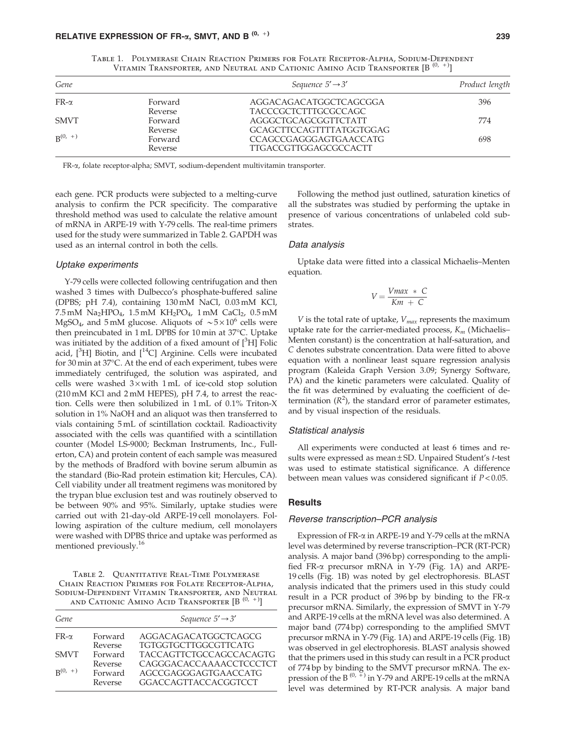| Gene         |         | Sequence $5' \rightarrow 3'$ | Product length |
|--------------|---------|------------------------------|----------------|
| $FR-\alpha$  | Forward | AGGACAGACATGGCTCAGCGGA       | 396            |
|              | Reverse | <b>TACCCGCTCTTTGCGCCAGC</b>  |                |
| <b>SMVT</b>  | Forward | AGGGCTGCAGCGGTTCTATT         | 774            |
|              | Reverse | GCAGCTTCCAGTTTTATGGTGGAG     |                |
| $R^{(0, +)}$ | Forward | CCAGCCGAGGGAGTGAACCATG       | 698            |
|              | Reverse | <b>TTGACCGTTGGAGCGCCACTT</b> |                |

Table 1. Polymerase Chain Reaction Primers for Folate Receptor-Alpha, Sodium-Dependent VITAMIN TRANSPORTER, AND NEUTRAL AND CATIONIC AMINO ACID TRANSPORTER  $[\mathsf{B}^{(0, +)}]$ 

FR-a, folate receptor-alpha; SMVT, sodium-dependent multivitamin transporter.

each gene. PCR products were subjected to a melting-curve analysis to confirm the PCR specificity. The comparative threshold method was used to calculate the relative amount of mRNA in ARPE-19 with Y-79 cells. The real-time primers used for the study were summarized in Table 2. GAPDH was used as an internal control in both the cells.

#### Uptake experiments

Y-79 cells were collected following centrifugation and then washed 3 times with Dulbecco's phosphate-buffered saline (DPBS; pH 7.4), containing 130 mM NaCl, 0.03 mM KCl, 7.5 mM  $Na<sub>2</sub>HPO<sub>4</sub>$ , 1.5 mM  $KH<sub>2</sub>PO<sub>4</sub>$ , 1 mM  $CaCl<sub>2</sub>$ , 0.5 mM MgSO<sub>4</sub>, and 5 mM glucose. Aliquots of  $\sim 5 \times 10^6$  cells were then preincubated in 1 mL DPBS for 10 min at 37°C. Uptake was initiated by the addition of a fixed amount of  $[{}^{3}H]$  Folic acid,  $[^{3}H]$  Biotin, and  $[^{14}C]$  Arginine. Cells were incubated for 30 min at 37°C. At the end of each experiment, tubes were immediately centrifuged, the solution was aspirated, and cells were washed  $3 \times$  with 1 mL of ice-cold stop solution (210 mM KCl and 2 mM HEPES), pH 7.4, to arrest the reaction. Cells were then solubilized in 1 mL of 0.1% Triton-X solution in 1% NaOH and an aliquot was then transferred to vials containing 5 mL of scintillation cocktail. Radioactivity associated with the cells was quantified with a scintillation counter (Model LS-9000; Beckman Instruments, Inc., Fullerton, CA) and protein content of each sample was measured by the methods of Bradford with bovine serum albumin as the standard (Bio-Rad protein estimation kit; Hercules, CA). Cell viability under all treatment regimens was monitored by the trypan blue exclusion test and was routinely observed to be between 90% and 95%. Similarly, uptake studies were carried out with 21-day-old ARPE-19 cell monolayers. Following aspiration of the culture medium, cell monolayers were washed with DPBS thrice and uptake was performed as mentioned previously.<sup>16</sup>

Table 2. Quantitative Real-Time Polymerase CHAIN REACTION PRIMERS FOR FOLATE RECEPTOR-ALPHA, Sodium-Dependent Vitamin Transporter, and Neutral AND CATIONIC AMINO ACID TRANSPORTER  $[B^{(0,-)}]$ 

|         | Sequence $5' \rightarrow 3'$   |  |
|---------|--------------------------------|--|
| Forward | AGGACAGACATGGCTCAGCG           |  |
| Reverse | <b>TGTGGTGCTTGGCGTTCATG</b>    |  |
| Forward | <b>TACCAGTTCTGCCAGCCACAGTG</b> |  |
| Reverse | CAGGGACACCAAAACCTCCCTCT        |  |
| Forward | AGCCGAGGGAGTGAACCATG           |  |
| Reverse | <b>GGACCAGTTACCACGGTCCT</b>    |  |
|         |                                |  |

Following the method just outlined, saturation kinetics of all the substrates was studied by performing the uptake in presence of various concentrations of unlabeled cold substrates.

#### Data analysis

Uptake data were fitted into a classical Michaelis–Menten equation.

$$
V = \frac{Vmax + C}{Km + C}
$$

*V* is the total rate of uptake, *Vmax* represents the maximum uptake rate for the carrier-mediated process, *K<sup>m</sup>* (Michaelis– Menten constant) is the concentration at half-saturation, and *C* denotes substrate concentration. Data were fitted to above equation with a nonlinear least square regression analysis program (Kaleida Graph Version 3.09; Synergy Software, PA) and the kinetic parameters were calculated. Quality of the fit was determined by evaluating the coefficient of determination  $(R^2)$ , the standard error of parameter estimates, and by visual inspection of the residuals.

#### Statistical analysis

All experiments were conducted at least 6 times and results were expressed as mean – SD. Unpaired Student's *t*-test was used to estimate statistical significance. A difference between mean values was considered significant if *P* < 0.05.

# **Results**

#### Reverse transcription–PCR analysis

Expression of FR- $\alpha$  in ARPE-19 and Y-79 cells at the mRNA level was determined by reverse transcription–PCR (RT-PCR) analysis. A major band (396 bp) corresponding to the amplified FR-a precursor mRNA in Y-79 (Fig. 1A) and ARPE-19 cells (Fig. 1B) was noted by gel electrophoresis. BLAST analysis indicated that the primers used in this study could result in a PCR product of 396 bp by binding to the FR- $\alpha$ precursor mRNA. Similarly, the expression of SMVT in Y-79 and ARPE-19 cells at the mRNA level was also determined. A major band (774 bp) corresponding to the amplified SMVT precursor mRNA in Y-79 (Fig. 1A) and ARPE-19 cells (Fig. 1B) was observed in gel electrophoresis. BLAST analysis showed that the primers used in this study can result in a PCR product of 774 bp by binding to the SMVT precursor mRNA. The expression of the B<sup>(0,  $+$ )</sup> in Y-79 and ARPE-19 cells at the mRNA level was determined by RT-PCR analysis. A major band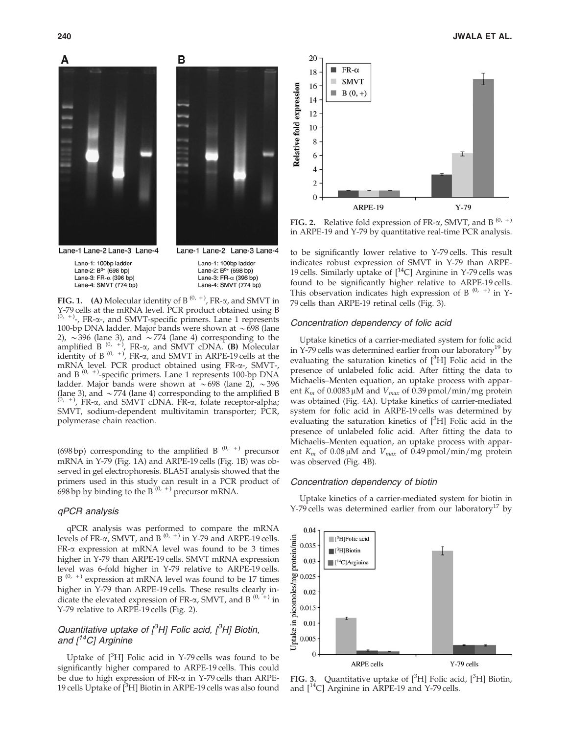



В

Lane-1 Lane-2 Lane-3 Lane-4

Lane-1: 100bp ladder Lane-2: B<sup>0+</sup> (698 bp) Lane-3:  $FR-\alpha$  (396 bp) Lane-4: SMVT (774 bp)

Lane-1 Lane-2 Lane-3 Lane-4

Lane-1: 100bp ladder Lane-2: B<sup>0+</sup> (698 bp) Lane-3: FR- $\alpha$  (396 bp) Lane-4: SMVT (774 bp)

**FIG. 1.** (A) Molecular identity of B<sup>(0, +)</sup>, FR- $\alpha$ , and SMVT in Y-79 cells at the mRNA level. PCR product obtained using B  $(0, +)$ , FR- $\alpha$ -, and SMVT-specific primers. Lane 1 represents 100-bp DNA ladder. Major bands were shown at  $\sim$  698 (lane 2),  $\sim$ 396 (lane 3), and  $\sim$ 774 (lane 4) corresponding to the amplified B<sup>(0, +)</sup>, FR- $\alpha$ , and SMVT cDNA. **(B)** Molecular identity of B<sup>(0, +)</sup>, FR- $\alpha$ , and SMVT in ARPE-19 cells at the mRNA level. PCR product obtained using FR-a-, SMVT-, and  $B^{(0, +)}$ -specific primers. Lane 1 represents 100-bp DNA ladder. Major bands were shown at  $\sim 698$  (lane 2),  $\sim 396$ (lane 3), and  $\sim$  774 (lane 4) corresponding to the amplified B  $(0, +)$ , FR- $\alpha$ , and SMVT cDNA. FR- $\alpha$ , folate receptor-alpha; SMVT, sodium-dependent multivitamin transporter; PCR, polymerase chain reaction.

(698 bp) corresponding to the amplified B  $(0, +)$  precursor mRNA in Y-79 (Fig. 1A) and ARPE-19 cells (Fig. 1B) was observed in gel electrophoresis. BLAST analysis showed that the primers used in this study can result in a PCR product of 698 bp by binding to the B<sup> $(0, +)$ </sup> precursor mRNA.

# qPCR analysis

qPCR analysis was performed to compare the mRNA levels of FR- $\alpha$ , SMVT, and B<sup>(0, +)</sup> in Y-79 and ARPE-19 cells. FR-a expression at mRNA level was found to be 3 times higher in Y-79 than ARPE-19 cells. SMVT mRNA expression level was 6-fold higher in Y-79 relative to ARPE-19 cells.  $B^{(0, +)}$  expression at mRNA level was found to be 17 times higher in Y-79 than ARPE-19 cells. These results clearly indicate the elevated expression of FR- $\alpha$ , SMVT, and B<sup>(0, +)</sup> in Y-79 relative to ARPE-19 cells (Fig. 2).

# Quantitative uptake of  $\beta$ H] Folic acid,  $\beta$ H] Biotin, and  $\int$ <sup>14</sup>C<sub>l</sub> Arginine

Uptake of  $[3H]$  Folic acid in Y-79 cells was found to be significantly higher compared to ARPE-19 cells. This could be due to high expression of  $FR-\alpha$  in Y-79 cells than ARPE-19 cells Uptake of  $[{}^{3}H]$  Biotin in ARPE-19 cells was also found



**FIG. 2.** Relative fold expression of FR- $\alpha$ , SMVT, and B<sup>(0, +)</sup> in ARPE-19 and Y-79 by quantitative real-time PCR analysis.

to be significantly lower relative to Y-79 cells. This result indicates robust expression of SMVT in Y-79 than ARPE-19 cells. Similarly uptake of  $\vert^{14}C\vert$  Arginine in Y-79 cells was found to be significantly higher relative to ARPE-19 cells. This observation indicates high expression of B<sup> $(0, +)$ </sup> in Y-79 cells than ARPE-19 retinal cells (Fig. 3).

#### Concentration dependency of folic acid

Uptake kinetics of a carrier-mediated system for folic acid in Y-79 cells was determined earlier from our laboratory<sup>19</sup> by evaluating the saturation kinetics of  $[^{3}H]$  Folic acid in the presence of unlabeled folic acid. After fitting the data to Michaelis–Menten equation, an uptake process with apparent  $K_m$  of 0.0083  $\mu$ M and  $V_{max}$  of 0.39 pmol/min/mg protein was obtained (Fig. 4A). Uptake kinetics of carrier-mediated system for folic acid in ARPE-19 cells was determined by evaluating the saturation kinetics of  $[{}^{3}H]$  Folic acid in the presence of unlabeled folic acid. After fitting the data to Michaelis–Menten equation, an uptake process with apparent  $K_m$  of 0.08  $\mu$ M and  $V_{max}$  of 0.49 pmol/min/mg protein was observed (Fig. 4B).

#### Concentration dependency of biotin

Uptake kinetics of a carrier-mediated system for biotin in Y-79 cells was determined earlier from our laboratory<sup>17</sup> by



FIG. 3. Quantitative uptake of  $[{}^3H]$  Folic acid,  $[{}^3H]$  Biotin, and [14C] Arginine in ARPE-19 and Y-79 cells.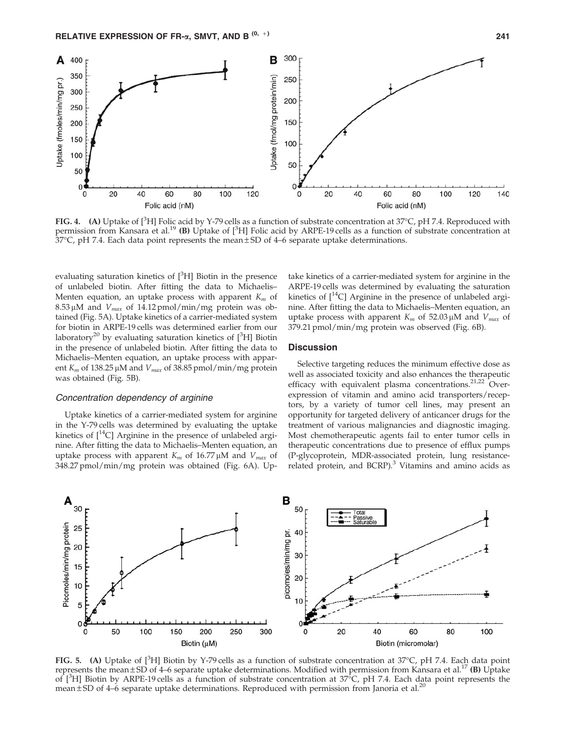

FIG. 4. (A) Uptake of [<sup>3</sup>H] Folic acid by Y-79 cells as a function of substrate concentration at 37°C, pH 7.4. Reproduced with permission from Kansara et al.<sup>19</sup> (B) Uptake of [<sup>3</sup>H] Folic acid by ARPE-19 cells as a function of substrate concentration at 37°C, pH 7.4. Each data point represents the mean ± SD of 4–6 separate uptake determinations.

evaluating saturation kinetics of  $[{}^{3}H]$  Biotin in the presence of unlabeled biotin. After fitting the data to Michaelis– Menten equation, an uptake process with apparent *K<sup>m</sup>* of  $8.53 \mu M$  and  $V_{max}$  of 14.12 pmol/min/mg protein was obtained (Fig. 5A). Uptake kinetics of a carrier-mediated system for biotin in ARPE-19 cells was determined earlier from our laboratory<sup>20</sup> by evaluating saturation kinetics of  $[{}^{3}H]$  Biotin in the presence of unlabeled biotin. After fitting the data to Michaelis–Menten equation, an uptake process with apparent  $K_m$  of 138.25  $\mu$ M and  $V_{max}$  of 38.85 pmol/min/mg protein was obtained (Fig. 5B).

# Concentration dependency of arginine

Uptake kinetics of a carrier-mediated system for arginine in the Y-79 cells was determined by evaluating the uptake kinetics of  $[^{14}C]$  Arginine in the presence of unlabeled arginine. After fitting the data to Michaelis–Menten equation, an uptake process with apparent  $K_m$  of 16.77  $\mu$ M and  $V_{max}$  of 348.27 pmol/min/mg protein was obtained (Fig. 6A). Up-

take kinetics of a carrier-mediated system for arginine in the ARPE-19 cells was determined by evaluating the saturation kinetics of  $[$ <sup>14</sup>C] Arginine in the presence of unlabeled arginine. After fitting the data to Michaelis–Menten equation, an uptake process with apparent  $K_m$  of 52.03  $\mu$ M and  $V_{max}$  of 379.21 pmol/min/mg protein was observed (Fig. 6B).

# **Discussion**

Selective targeting reduces the minimum effective dose as well as associated toxicity and also enhances the therapeutic efficacy with equivalent plasma concentrations.<sup>21,22</sup> Overexpression of vitamin and amino acid transporters/receptors, by a variety of tumor cell lines, may present an opportunity for targeted delivery of anticancer drugs for the treatment of various malignancies and diagnostic imaging. Most chemotherapeutic agents fail to enter tumor cells in therapeutic concentrations due to presence of efflux pumps (P-glycoprotein, MDR-associated protein, lung resistancerelated protein, and BCRP). $3$  Vitamins and amino acids as



FIG. 5. (A) Uptake of  $[^{3}H]$  Biotin by Y-79 cells as a function of substrate concentration at 37°C, pH 7.4. Each data point represents the mean  $\pm$  SD of 4–6 separate uptake determinations. Modified with permission from Kansara et al.<sup>17</sup> (B) Uptake of [<sup>3</sup>H] Biotin by ARPE-19 cells as a function of substrate concentration at 37<sup>5</sup>C, pH 7.4. Each data point represents the mean  $\pm$  SD of 4–6 separate uptake determinations. Reproduced with permission from Janoria et al.<sup>20</sup>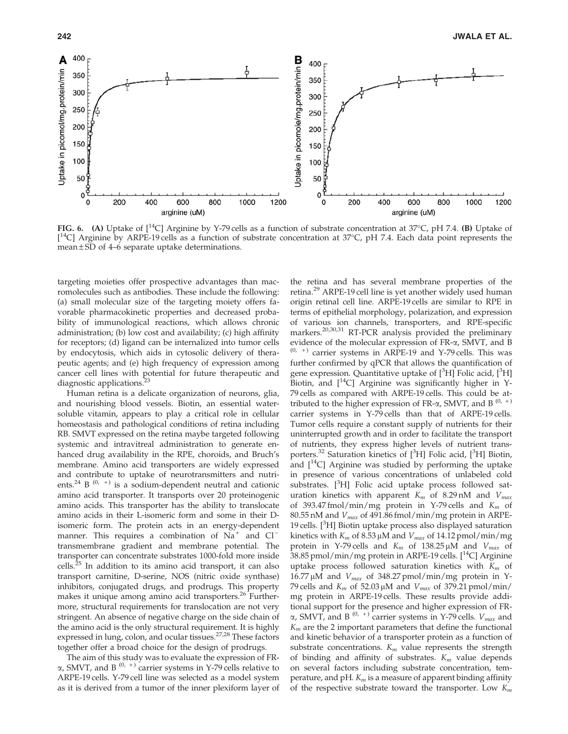

FIG. 6. (A) Uptake of  $[^{14}C]$  Arginine by Y-79 cells as a function of substrate concentration at 37°C, pH 7.4. (B) Uptake of [<sup>14</sup>C] Arginine by ARPE-19 cells as a function of substrate concentration at 37°C, pH 7.4. Each data point represents the mean  $\pm$  SD of 4–6 separate uptake determinations.

targeting moieties offer prospective advantages than macromolecules such as antibodies. These include the following: (a) small molecular size of the targeting moiety offers favorable pharmacokinetic properties and decreased probability of immunological reactions, which allows chronic administration; (b) low cost and availability; (c) high affinity for receptors; (d) ligand can be internalized into tumor cells by endocytosis, which aids in cytosolic delivery of therapeutic agents; and (e) high frequency of expression among cancer cell lines with potential for future therapeutic and diagnostic applications. $2<sup>3</sup>$ 

Human retina is a delicate organization of neurons, glia, and nourishing blood vessels. Biotin, an essential watersoluble vitamin, appears to play a critical role in cellular homeostasis and pathological conditions of retina including RB. SMVT expressed on the retina maybe targeted following systemic and intravitreal administration to generate enhanced drug availability in the RPE, choroids, and Bruch's membrane. Amino acid transporters are widely expressed and contribute to uptake of neurotransmitters and nutrients.<sup>24</sup> B<sup>(0, +)</sup> is a sodium-dependent neutral and cationic amino acid transporter. It transports over 20 proteinogenic amino acids. This transporter has the ability to translocate amino acids in their L-isomeric form and some in their Disomeric form. The protein acts in an energy-dependent manner. This requires a combination of  $\overline{Na}^+$  and  $Cl^$ transmembrane gradient and membrane potential. The transporter can concentrate substrates 1000-fold more inside cells.<sup>25</sup> In addition to its amino acid transport, it can also transport carnitine, D-serine, NOS (nitric oxide synthase) inhibitors, conjugated drugs, and prodrugs. This property makes it unique among amino acid transporters.<sup>26</sup> Furthermore, structural requirements for translocation are not very stringent. An absence of negative charge on the side chain of the amino acid is the only structural requirement. It is highly expressed in lung, colon, and ocular tissues.<sup>27,28</sup> These factors together offer a broad choice for the design of prodrugs.

The aim of this study was to evaluate the expression of FR- $\alpha$ , SMVT, and B<sup>(0, +)</sup> carrier systems in Y-79 cells relative to ARPE-19 cells. Y-79 cell line was selected as a model system as it is derived from a tumor of the inner plexiform layer of the retina and has several membrane properties of the retina.<sup>29</sup> ARPE-19 cell line is yet another widely used human origin retinal cell line. ARPE-19 cells are similar to RPE in terms of epithelial morphology, polarization, and expression of various ion channels, transporters, and RPE-specific markers.<sup>20,30,31</sup> RT-PCR analysis provided the preliminary evidence of the molecular expression of FR-a, SMVT, and B  $(0, +)$  carrier systems in ARPE-19 and Y-79 cells. This was further confirmed by qPCR that allows the quantification of gene expression. Quantitative uptake of  $[{}^3H]$  Folic acid,  $[{}^3H]$ Biotin, and  $\lceil \sqrt[14]{2} \rceil$  Arginine was significantly higher in Y-79 cells as compared with ARPE-19 cells. This could be attributed to the higher expression of FR- $\alpha$ , SMVT, and B<sup>(0, +)</sup> carrier systems in Y-79 cells than that of ARPE-19 cells. Tumor cells require a constant supply of nutrients for their uninterrupted growth and in order to facilitate the transport of nutrients, they express higher levels of nutrient transporters.<sup>32</sup> Saturation kinetics of [<sup>3</sup>H] Folic acid, [<sup>3</sup>H] Biotin, and  $\left[\right]^{14}C$  Arginine was studied by performing the uptake in presence of various concentrations of unlabeled cold substrates.  $[3H]$  Folic acid uptake process followed saturation kinetics with apparent *K<sup>m</sup>* of 8.29 nM and *Vmax* of 393.47 fmol/min/mg protein in Y-79 cells and *K<sup>m</sup>* of 80.55 nM and *Vmax* of 491.86 fmol/min/mg protein in ARPE-19 cells.  $[{}^{3}H]$  Biotin uptake process also displayed saturation kinetics with  $K_m$  of 8.53  $\mu$ M and  $V_{max}$  of 14.12 pmol/min/mg protein in Y-79 cells and  $K_m$  of 138.25  $\mu$ M and  $V_{max}$  of 38.85 pmol/min/mg protein in ARPE-19 cells.  $[^{14}C]$  Arginine uptake process followed saturation kinetics with *K<sup>m</sup>* of 16.77 μM and  $V_{max}$  of 348.27 pmol/min/mg protein in Y-79 cells and  $K_m$  of 52.03  $\mu$ M and  $V_{max}$  of 379.21 pmol/min/ mg protein in ARPE-19 cells. These results provide additional support for the presence and higher expression of FR- $\alpha$ , SMVT, and B<sup>(0, +)</sup> carrier systems in Y-79 cells.  $V_{max}$  and *K<sup>m</sup>* are the 2 important parameters that define the functional and kinetic behavior of a transporter protein as a function of substrate concentrations.  $K_m$  value represents the strength of binding and affinity of substrates. *K<sup>m</sup>* value depends on several factors including substrate concentration, temperature, and pH. *K<sup>m</sup>* is a measure of apparent binding affinity of the respective substrate toward the transporter. Low *K<sup>m</sup>*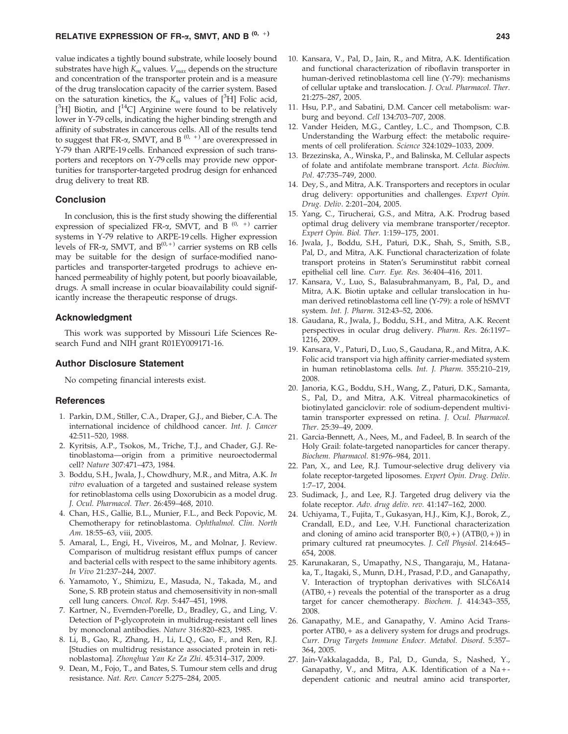value indicates a tightly bound substrate, while loosely bound substrates have high *K<sup>m</sup>* values. *Vmax* depends on the structure and concentration of the transporter protein and is a measure of the drug translocation capacity of the carrier system. Based on the saturation kinetics, the  $K_m$  values of [<sup>3</sup>H] Folic acid,  $[^3H]$  Biotin, and  $[^{14}C]$  Arginine were found to be relatively lower in Y-79 cells, indicating the higher binding strength and affinity of substrates in cancerous cells. All of the results tend to suggest that FR- $\alpha$ , SMVT, and B<sup>(0, +)</sup> are overexpressed in Y-79 than ARPE-19 cells. Enhanced expression of such transporters and receptors on Y-79 cells may provide new opportunities for transporter-targeted prodrug design for enhanced drug delivery to treat RB.

#### Conclusion

In conclusion, this is the first study showing the differential expression of specialized FR- $\alpha$ , SMVT, and B<sup>(0,+)</sup> carrier systems in Y-79 relative to ARPE-19 cells. Higher expression levels of FR- $\alpha$ , SMVT, and B<sup>(0,+)</sup> carrier systems on RB cells may be suitable for the design of surface-modified nanoparticles and transporter-targeted prodrugs to achieve enhanced permeability of highly potent, but poorly bioavailable, drugs. A small increase in ocular bioavailability could significantly increase the therapeutic response of drugs.

#### Acknowledgment

This work was supported by Missouri Life Sciences Research Fund and NIH grant R01EY009171-16.

#### Author Disclosure Statement

No competing financial interests exist.

#### **References**

- 1. Parkin, D.M., Stiller, C.A., Draper, G.J., and Bieber, C.A. The international incidence of childhood cancer. *Int. J. Cancer* 42:511–520, 1988.
- 2. Kyritsis, A.P., Tsokos, M., Triche, T.J., and Chader, G.J. Retinoblastoma—origin from a primitive neuroectodermal cell? *Nature* 307:471–473, 1984.
- 3. Boddu, S.H., Jwala, J., Chowdhury, M.R., and Mitra, A.K. *In vitro* evaluation of a targeted and sustained release system for retinoblastoma cells using Doxorubicin as a model drug. *J. Ocul. Pharmacol. Ther*. 26:459–468, 2010.
- 4. Chan, H.S., Gallie, B.L., Munier, F.L., and Beck Popovic, M. Chemotherapy for retinoblastoma. *Ophthalmol. Clin. North Am*. 18:55–63, viii, 2005.
- 5. Amaral, L., Engi, H., Viveiros, M., and Molnar, J. Review. Comparison of multidrug resistant efflux pumps of cancer and bacterial cells with respect to the same inhibitory agents. *In Vivo* 21:237–244, 2007.
- 6. Yamamoto, Y., Shimizu, E., Masuda, N., Takada, M., and Sone, S. RB protein status and chemosensitivity in non-small cell lung cancers. *Oncol. Rep*. 5:447–451, 1998.
- 7. Kartner, N., Evernden-Porelle, D., Bradley, G., and Ling, V. Detection of P-glycoprotein in multidrug-resistant cell lines by monoclonal antibodies. *Nature* 316:820–823, 1985.
- 8. Li, B., Gao, R., Zhang, H., Li, L.Q., Gao, F., and Ren, R.J. [Studies on multidrug resistance associated protein in retinoblastoma]. *Zhonghua Yan Ke Za Zhi*. 45:314–317, 2009.
- 9. Dean, M., Fojo, T., and Bates, S. Tumour stem cells and drug resistance. *Nat. Rev. Cancer* 5:275–284, 2005.
- 10. Kansara, V., Pal, D., Jain, R., and Mitra, A.K. Identification and functional characterization of riboflavin transporter in human-derived retinoblastoma cell line (Y-79): mechanisms
- 21:275–287, 2005. 11. Hsu, P.P., and Sabatini, D.M. Cancer cell metabolism: warburg and beyond. *Cell* 134:703–707, 2008.

of cellular uptake and translocation. *J. Ocul. Pharmacol. Ther*.

- 12. Vander Heiden, M.G., Cantley, L.C., and Thompson, C.B. Understanding the Warburg effect: the metabolic requirements of cell proliferation. *Science* 324:1029–1033, 2009.
- 13. Brzezinska, A., Winska, P., and Balinska, M. Cellular aspects of folate and antifolate membrane transport. *Acta. Biochim. Pol*. 47:735–749, 2000.
- 14. Dey, S., and Mitra, A.K. Transporters and receptors in ocular drug delivery: opportunities and challenges. *Expert Opin. Drug. Deliv*. 2:201–204, 2005.
- 15. Yang, C., Tirucherai, G.S., and Mitra, A.K. Prodrug based optimal drug delivery via membrane transporter/receptor. *Expert Opin. Biol. Ther*. 1:159–175, 2001.
- 16. Jwala, J., Boddu, S.H., Paturi, D.K., Shah, S., Smith, S.B., Pal, D., and Mitra, A.K. Functional characterization of folate transport proteins in Staten's Seruminstitut rabbit corneal epithelial cell line. *Curr. Eye. Res*. 36:404–416, 2011.
- 17. Kansara, V., Luo, S., Balasubrahmanyam, B., Pal, D., and Mitra, A.K. Biotin uptake and cellular translocation in human derived retinoblastoma cell line (Y-79): a role of hSMVT system. *Int. J. Pharm*. 312:43–52, 2006.
- 18. Gaudana, R., Jwala, J., Boddu, S.H., and Mitra, A.K. Recent perspectives in ocular drug delivery. *Pharm. Res*. 26:1197– 1216, 2009.
- 19. Kansara, V., Paturi, D., Luo, S., Gaudana, R., and Mitra, A.K. Folic acid transport via high affinity carrier-mediated system in human retinoblastoma cells. *Int. J. Pharm*. 355:210–219, 2008.
- 20. Janoria, K.G., Boddu, S.H., Wang, Z., Paturi, D.K., Samanta, S., Pal, D., and Mitra, A.K. Vitreal pharmacokinetics of biotinylated ganciclovir: role of sodium-dependent multivitamin transporter expressed on retina. *J. Ocul. Pharmacol. Ther*. 25:39–49, 2009.
- 21. Garcia-Bennett, A., Nees, M., and Fadeel, B. In search of the Holy Grail: folate-targeted nanoparticles for cancer therapy. *Biochem. Pharmacol*. 81:976–984, 2011.
- 22. Pan, X., and Lee, R.J. Tumour-selective drug delivery via folate receptor-targeted liposomes. *Expert Opin. Drug. Deliv*. 1:7–17, 2004.
- 23. Sudimack, J., and Lee, R.J. Targeted drug delivery via the folate receptor. *Adv. drug deliv. rev.* 41:147–162, 2000.
- 24. Uchiyama, T., Fujita, T., Gukasyan, H.J., Kim, K.J., Borok, Z., Crandall, E.D., and Lee, V.H. Functional characterization and cloning of amino acid transporter  $B(0,+)$  (ATB(0, +)) in primary cultured rat pneumocytes. *J. Cell Physiol*. 214:645– 654, 2008.
- 25. Karunakaran, S., Umapathy, N.S., Thangaraju, M., Hatanaka, T., Itagaki, S., Munn, D.H., Prasad, P.D., and Ganapathy, V. Interaction of tryptophan derivatives with SLC6A14  $(ATB0, +)$  reveals the potential of the transporter as a drug target for cancer chemotherapy. *Biochem. J*. 414:343–355, 2008.
- 26. Ganapathy, M.E., and Ganapathy, V. Amino Acid Transporter ATB0, + as a delivery system for drugs and prodrugs. *Curr. Drug Targets Immune Endocr. Metabol. Disord*. 5:357– 364, 2005.
- 27. Jain-Vakkalagadda, B., Pal, D., Gunda, S., Nashed, Y., Ganapathy, V., and Mitra, A.K. Identification of a Na + dependent cationic and neutral amino acid transporter,